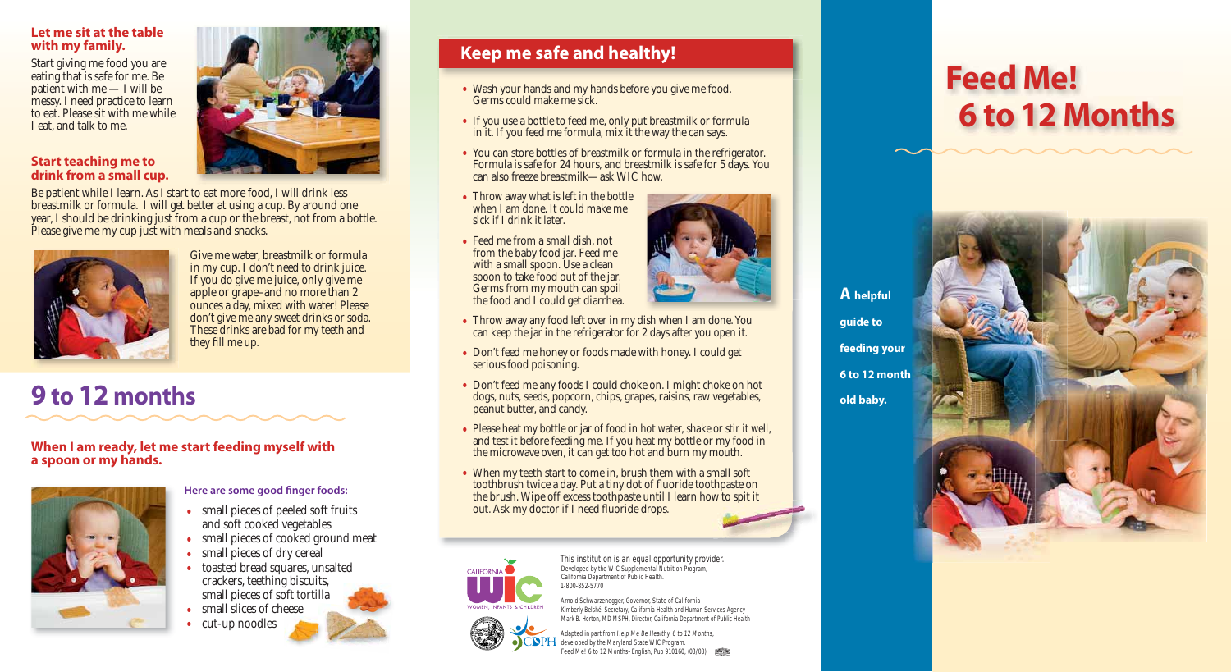This institution is an equal opportunity provider. Developed by the WIC Supplemental Nutrition Program, California Department of Public Health. 1-800-852-5770

Arnold Schwarzenegger, Governor, State of California Kimberly Belshé, Secretary, California Health and Human Services Agency Mark B. Horton, MD MSPH, Director, California Department of Public Health

Adapted in part from Help Me Be Healthy, 6 to 12 Months, developed by the Maryland State WIC Program. Feed Me! 6 to 12 Months–English, Pub 910160, (03/08)

# **Feed Me! 6 to 12 Months**



## **Keep me safe and healthy!**

- Wash your hands and my hands before you give me food. Germs could make me sick.
- If you use a bottle to feed me, only put breastmilk or formula in it. If you feed me formula, mix it the way the can says.
- You can store bottles of breastmilk or formula in the refrigerator. Formula is safe for 24 hours, and breastmilk is safe for 5 days. You can also freeze breastmilk—ask WIC how.
- Throw away what is left in the bottle when I am done. It could make me sick if I drink it later.
- Feed me from a small dish, not from the baby food jar. Feed me with a small spoon. Use a clean spoon to take food out of the jar. Germs from my mouth can spoil the food and I could get diarrhea.



- Throw away any food left over in my dish when I am done. You can keep the jar in the refrigerator for 2 days after you open it.
- Don't feed me honey or foods made with honey. I could get serious food poisoning.
- Don't feed me any foods I could choke on. I might choke on hot dogs, nuts, seeds, popcorn, chips, grapes, raisins, raw vegetables, peanut butter, and candy.
- Please heat my bottle or jar of food in hot water, shake or stir it well, and test it before feeding me. If you heat my bottle or my food in the microwave oven, it can get too hot and burn my mouth.
- When my teeth start to come in, brush them with a small soft toothbrush twice a day. Put a tiny dot of fluoride toothpaste on the brush. Wipe off excess toothpaste until I learn how to spit it out. Ask my doctor if I need fluoride drops.



Be patient while I learn. As I start to eat more food, I will drink less breastmilk or formula. I will get better at using a cup. By around one year, I should be drinking just from a cup or the breast, not from a bottle. Please give me my cup just with meals and snacks.



Give me water, breastmilk or formula in my cup. I don't need to drink juice. If you do give me juice, only give me apple or grape–and no more than 2 ounces a day, mixed with water! Please don't give me any sweet drinks or soda. These drinks are bad for my teeth and they fill me up.

- small pieces of peeled soft fruits and soft cooked vegetables
- small pieces of cooked ground meat
- small pieces of dry cereal
- toasted bread squares, unsalted crackers, teething biscuits, small pieces of soft tortilla
- small slices of cheese
- cut-up noodles



#### **Let me sit at the table with my family.**

Start giving me food you are eating that is safe for me. Be patient with me — I will be messy. I need practice to learn to eat. Please sit with me while I eat, and talk to me.

#### **Start teaching me to drink from a small cup.**

## **9 to 12 months**

**When I am ready, let me start feeding myself with a spoon or my hands.**



#### **Here are some good finger foods:**

**A helpful guide to feeding your 6 to 12 month old baby.**